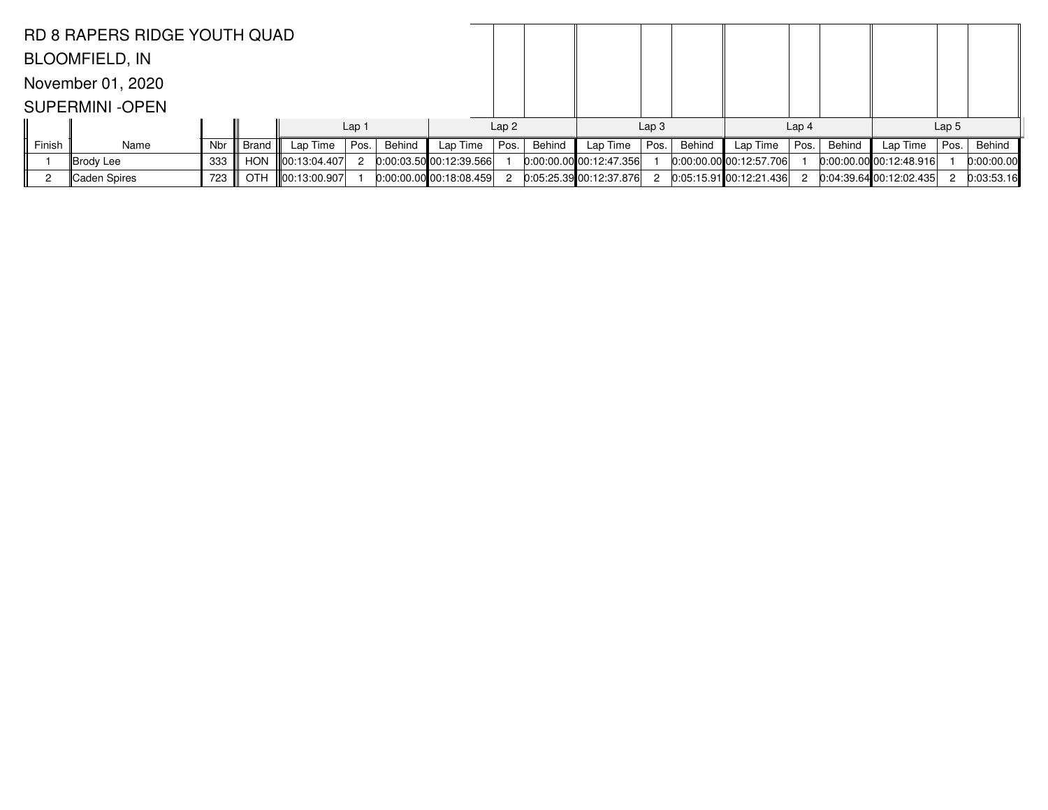|        | <b>RD 8 RAPERS RIDGE YOUTH QUAD</b> |            |             |                   |                  |        |                           |      |                  |                           |      |                  |                             |      |        |                             |                  |            |
|--------|-------------------------------------|------------|-------------|-------------------|------------------|--------|---------------------------|------|------------------|---------------------------|------|------------------|-----------------------------|------|--------|-----------------------------|------------------|------------|
|        | <b>BLOOMFIELD, IN</b>               |            |             |                   |                  |        |                           |      |                  |                           |      |                  |                             |      |        |                             |                  |            |
|        | November 01, 2020                   |            |             |                   |                  |        |                           |      |                  |                           |      |                  |                             |      |        |                             |                  |            |
|        | <b>SUPERMINI -OPEN</b>              |            |             |                   |                  |        |                           |      |                  |                           |      |                  |                             |      |        |                             |                  |            |
|        |                                     |            |             |                   | Lap <sub>1</sub> |        |                           |      | Lap <sub>2</sub> |                           |      | Lap <sub>3</sub> |                             |      |        |                             | Lap <sub>5</sub> |            |
| Finish | Name                                | <b>Nbr</b> | ∣ Brand III | Lap Time          | Pos.             | Behind | Lap Time                  | Pos. | Behind           | Lap Time                  | Pos. | Behind           | Lap Time                    | Pos. | Behind | Lap Time                    | Pos.             | Behind     |
|        | ∥Brody Lee                          | 333        | <b>HON</b>  | 00:13:04.407      |                  |        | 0:00:03.50 00:12:39.566   |      |                  | $0:00:00.00$ 00:12:47.356 |      |                  | $0:00:00.00$ 00:12:57.706   |      |        | $[0:00:00.00]$ 00:12:48.916 |                  | 0:00:00.00 |
|        | <b>Caden Spires</b>                 | 723        |             | OTH 100:13:00.907 |                  |        | $0.00:00.00$ 00:18:08.459 | -2   |                  | 0:05:25.3900:12:37.876    | 2    |                  | $0:05:15.91$ 00:12:21.436 2 |      |        | $0:04:39.64$ 00:12:02.435   |                  | 0:03:53.16 |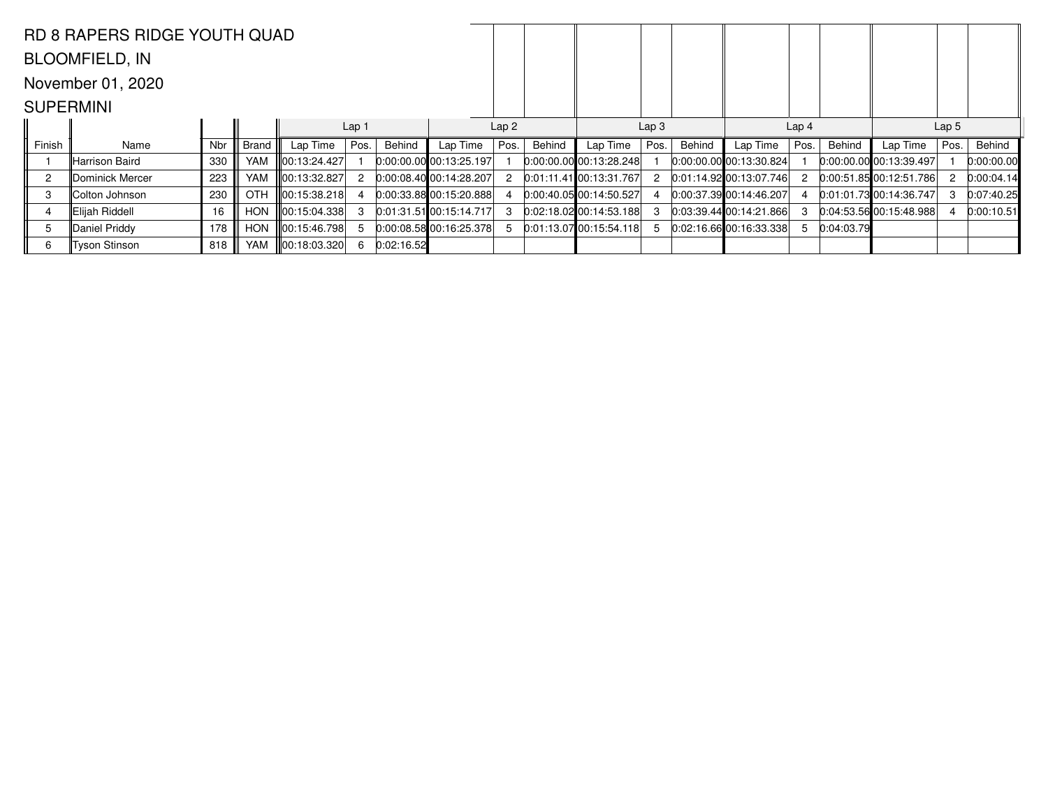|                  | RD 8 RAPERS RIDGE YOUTH QUAD |            |            |               |                  |            |                             |                  |               |                                 |      |        |                           |                  |            |                           |      |            |
|------------------|------------------------------|------------|------------|---------------|------------------|------------|-----------------------------|------------------|---------------|---------------------------------|------|--------|---------------------------|------------------|------------|---------------------------|------|------------|
|                  | <b>BLOOMFIELD, IN</b>        |            |            |               |                  |            |                             |                  |               |                                 |      |        |                           |                  |            |                           |      |            |
|                  | November 01, 2020            |            |            |               |                  |            |                             |                  |               |                                 |      |        |                           |                  |            |                           |      |            |
| <b>SUPERMINI</b> |                              |            |            |               |                  |            |                             |                  |               |                                 |      |        |                           |                  |            |                           |      |            |
|                  |                              |            |            |               | Lap <sub>1</sub> |            |                             | Lap <sub>2</sub> |               | Lap <sub>3</sub>                |      |        |                           | Lap <sub>4</sub> |            | Lap <sub>5</sub>          |      |            |
| Finish           | Name                         | <b>Nbr</b> | Brand      | Lap Time      | Pos.             | Behind     | Lap Time                    | Pos.             | <b>Behind</b> | Lap Time                        | Pos. | Behind | Lap Time                  | Pos.             | Behind     | Lap Time                  | Pos. | Behind     |
|                  | lHarrison Baird              | 330        | <b>YAM</b> | ∥00:13:24.427 |                  |            | $0:00:00.00$ 00:13:25.197   |                  |               | $[0:00:00.00]$ 00:13:28.248     |      |        | 0:00:00.00 00:13:30.824   |                  |            | $0:00:00.00$ 00:13:39.497 |      | 0:00:00.00 |
| $\overline{c}$   | Dominick Mercer              | 223        | <b>YAM</b> | ∥00:13:32.827 |                  |            | $[0:00:08.40]$ 00:14:28.207 | 2                |               | $[0:01:11.41]$ $[00:13:31.767]$ | 2    |        | $0:01:14.92$ 00:13:07.746 | 2                |            | 0:00:51.85 00:12:51.786   |      | 0:00:04.14 |
| 3                | Colton Johnson               | 230        | <b>OTH</b> |               |                  |            | $0:00:33.88$ 00:15:20.888   |                  |               | $0:00:40.05$ 00:14:50.527       |      |        | 0.00:37.39 00:14:46.207   |                  |            | $0:01:01.73$ 00:14:36.747 |      | 0:07:40.25 |
|                  | Elijah Riddell               | 16         | HON        | ∥00:15:04.338 |                  |            | $[0.01:31.51]$ 00:15:14.717 | -3               |               | $0:02:18.02$ 00:14:53.188       |      |        | 0:03:39.44100:14:21.866   | 3                |            | 0:04:53.56 00:15:48.988   |      | 0:00:10.51 |
| 5                | Daniel Priddy                | 178        | <b>HON</b> |               |                  |            | 0:00:08.5800:16:25.378      |                  |               | $0:01:13.07$ 00:15:54.118       | 5    |        | 0.02:16.6600:16:33.338    | 5                | 0:04:03.79 |                           |      |            |
| 6                | Tyson Stinson                | 818        | <b>YAM</b> | ∥00:18:03.320 |                  | 0:02:16.52 |                             |                  |               |                                 |      |        |                           |                  |            |                           |      |            |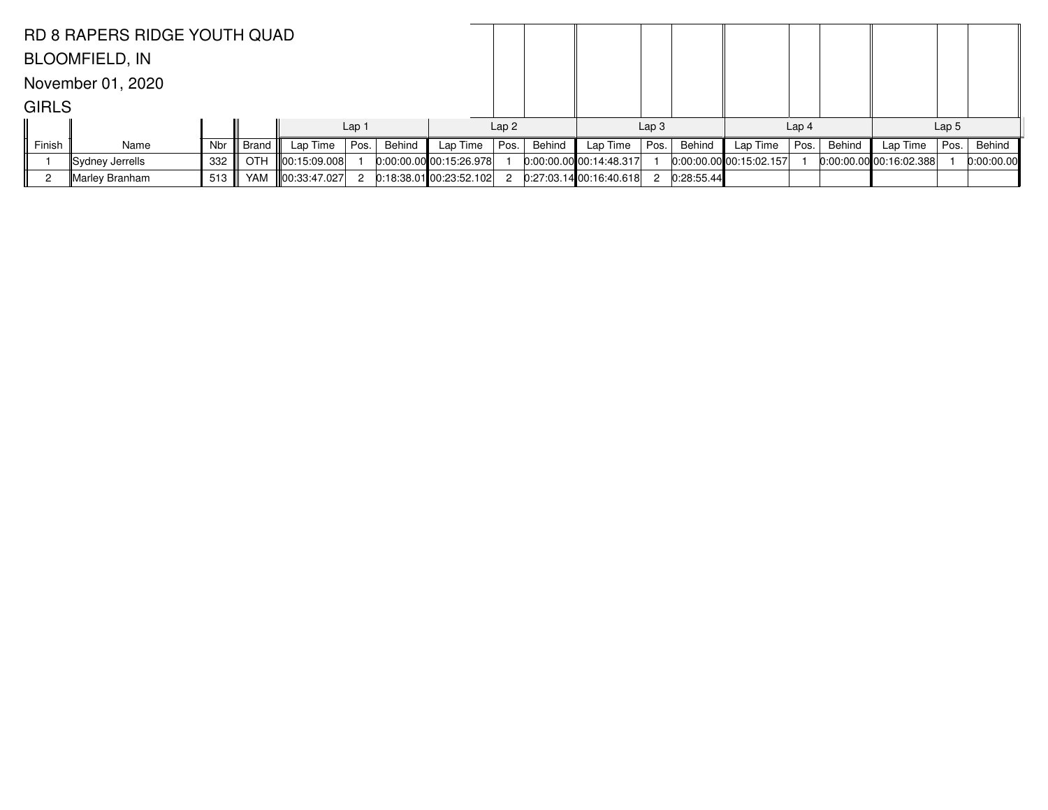|              | <b>RD 8 RAPERS RIDGE YOUTH QUAD</b> |            |       |                   |                  |        |                           |                  |        |                           |                  |            |                           |                  |        |                             |                  |            |
|--------------|-------------------------------------|------------|-------|-------------------|------------------|--------|---------------------------|------------------|--------|---------------------------|------------------|------------|---------------------------|------------------|--------|-----------------------------|------------------|------------|
|              | <b>BLOOMFIELD, IN</b>               |            |       |                   |                  |        |                           |                  |        |                           |                  |            |                           |                  |        |                             |                  |            |
|              | November 01, 2020                   |            |       |                   |                  |        |                           |                  |        |                           |                  |            |                           |                  |        |                             |                  |            |
| <b>GIRLS</b> |                                     |            |       |                   |                  |        |                           |                  |        |                           |                  |            |                           |                  |        |                             |                  |            |
|              |                                     |            |       |                   | Lap <sub>1</sub> |        |                           | Lap <sub>2</sub> |        |                           | Lap <sub>3</sub> |            |                           | Lap <sub>4</sub> |        |                             | Lap <sub>5</sub> |            |
| Finish       | Name                                | <b>Nbr</b> | Brand | Lap Time          | Pos.             | Behind | Lap Time                  | Pos.             | Behind | Lap Time                  | Pos.             | Behind     | Lap Time                  | Pos.             | Behind | Lap Time                    | Pos.             | Behind     |
|              | ∥Sydney Jerrells                    | 332        |       | OTH 100:15:09.008 |                  |        | 0.00.00.0000000015.26.978 |                  |        | $0:00:00.00$ 00:14:48.317 |                  |            | $0:00:00.00$ 00:15:02.157 |                  |        | $[0:00:00.00]$ 00:16:02.388 |                  | 0:00:00.00 |
|              | Marley Branham                      | 513        |       | YAM 100:33:47.027 |                  |        | $0:18:38.01$ 00:23:52.102 | 2                |        | 0:27:03.1400:16:40.618    | 2                | 0:28:55.44 |                           |                  |        |                             |                  |            |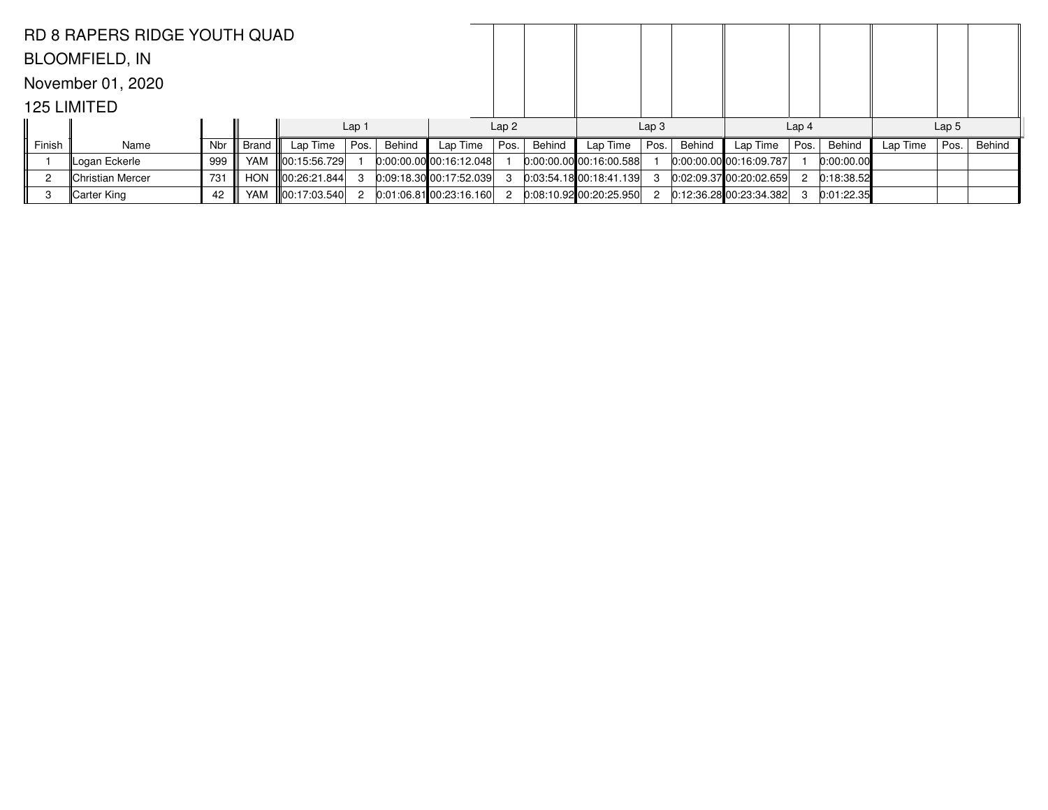|                                                                                | <b>RD 8 RAPERS RIDGE YOUTH QUAD</b> |            |       |                   |                  |        |                         |                  |        |                             |                  |        |                             |                  |            |          |                  |        |
|--------------------------------------------------------------------------------|-------------------------------------|------------|-------|-------------------|------------------|--------|-------------------------|------------------|--------|-----------------------------|------------------|--------|-----------------------------|------------------|------------|----------|------------------|--------|
|                                                                                | <b>BLOOMFIELD, IN</b>               |            |       |                   |                  |        |                         |                  |        |                             |                  |        |                             |                  |            |          |                  |        |
|                                                                                | November 01, 2020                   |            |       |                   |                  |        |                         |                  |        |                             |                  |        |                             |                  |            |          |                  |        |
|                                                                                | 125 LIMITED                         |            |       |                   |                  |        |                         |                  |        |                             |                  |        |                             |                  |            |          |                  |        |
|                                                                                |                                     |            |       |                   | Lap <sub>1</sub> |        |                         | Lap <sub>2</sub> |        |                             | Lap <sub>3</sub> |        |                             | Lap <sub>4</sub> |            |          | Lap <sub>5</sub> |        |
| Finish                                                                         | Name                                | <b>Nbr</b> | Brand | Lap Time          | Pos.             | Behind | Lap Time                | Pos.             | Behind | Lap Time                    | Pos.             | Behind | Lap Time                    | Pos.             | Behind     | Lap Time | Pos.             | Behind |
| Logan Eckerle<br>YAM<br>$\ 00:15:56.729\ $<br>$0.00:00.00$ 00:16:12.048<br>999 |                                     |            |       |                   |                  |        |                         |                  |        | $[0:00:00.00]$ 00:16:00.588 |                  |        | $0:00:00.00$ 00:16:09.787   |                  | 0:00:00.00 |          |                  |        |
|                                                                                | <b>Christian Mercer</b>             | 731        |       | HON 100:26:21.844 |                  |        | 0.09:18.30 00:17:52.039 | -3               |        | 0.03:54.1800:18:41.139      | 3                |        | 0:02:09.37 00:20:02.659     | -2               | 0:18:38.52 |          |                  |        |
| -3                                                                             | Carter King                         | 42         |       | YAM 100:17:03.540 | $\overline{2}$   |        | 0:01:06.81 00:23:16.160 | - 2              |        | $0:08:10.92$ 00:20:25.950   | 2                |        | $0:12:36.28$ 00:23:34.382 3 |                  | 0:01:22.35 |          |                  |        |